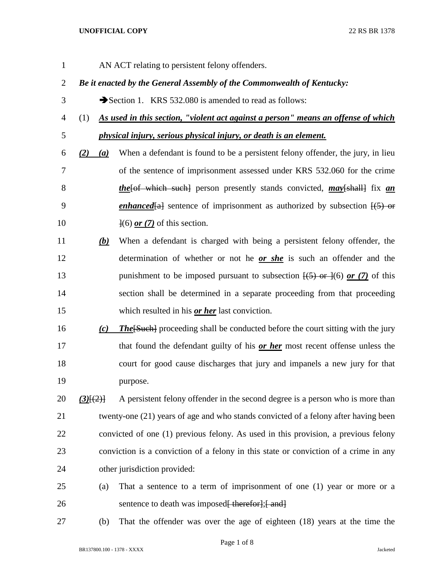- AN ACT relating to persistent felony offenders. *Be it enacted by the General Assembly of the Commonwealth of Kentucky:* 3 Section 1. KRS 532.080 is amended to read as follows: (1) *As used in this section, "violent act against a person" means an offense of which physical injury, serious physical injury, or death is an element. (2) (a)* When a defendant is found to be a persistent felony offender, the jury, in lieu of the sentence of imprisonment assessed under KRS 532.060 for the crime *the*[of which such] person presently stands convicted, *may*[shall] fix *an*  9 *enhanced*[a] sentence of imprisonment as authorized by subsection  $\overline{(5)}$  or 10  $\frac{1}{6}$  or (7) of this section. *(b)* When a defendant is charged with being a persistent felony offender, the determination of whether or not he *or she* is such an offender and the 13 punishment to be imposed pursuant to subsection  $\overline{(+5)}$  or  $\overline{(+6)}$  or  $\overline{(-7)}$  of this section shall be determined in a separate proceeding from that proceeding which resulted in his *or her* last conviction. *(c) The*[Such] proceeding shall be conducted before the court sitting with the jury that found the defendant guilty of his *or her* most recent offense unless the court for good cause discharges that jury and impanels a new jury for that purpose. *(3)*[(2)] A persistent felony offender in the second degree is a person who is more than twenty-one (21) years of age and who stands convicted of a felony after having been convicted of one (1) previous felony. As used in this provision, a previous felony conviction is a conviction of a felony in this state or conviction of a crime in any other jurisdiction provided: (a) That a sentence to a term of imprisonment of one (1) year or more or a 26 sentence to death was imposed<del>[ therefor];[ and]</del> (b) That the offender was over the age of eighteen (18) years at the time the
- 
-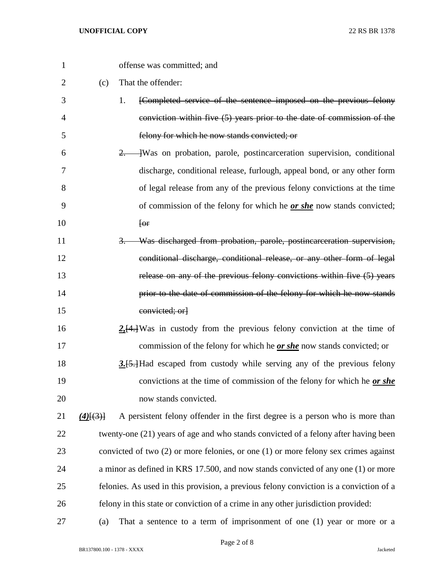| 1              |               | offense was committed; and                                                              |
|----------------|---------------|-----------------------------------------------------------------------------------------|
| $\overline{2}$ | (c)           | That the offender:                                                                      |
| 3              |               | [Completed service of the sentence imposed on the previous felony<br>1.                 |
| $\overline{4}$ |               | conviction within five $(5)$ years prior to the date of commission of the               |
| 5              |               | felony for which he now stands convicted; or                                            |
| 6              |               | -Was on probation, parole, postincarceration supervision, conditional<br>2.             |
| 7              |               | discharge, conditional release, furlough, appeal bond, or any other form                |
| 8              |               | of legal release from any of the previous felony convictions at the time                |
| 9              |               | of commission of the felony for which he <i>or she</i> now stands convicted;            |
| 10             |               | $[0$ r                                                                                  |
| 11             |               | Was discharged from probation, parole, postincarceration supervision,<br>3.             |
| 12             |               | conditional discharge, conditional release, or any other form of legal                  |
| 13             |               | release on any of the previous felony convictions within five (5) years                 |
| 14             |               | prior to the date of commission of the felony for which he now stands                   |
| 15             |               | convicted; orl                                                                          |
| 16             |               | $2.4$ . Was in custody from the previous felony conviction at the time of               |
| 17             |               | commission of the felony for which he <u>or she</u> now stands convicted; or            |
| 18             |               | 3.[5.] Had escaped from custody while serving any of the previous felony                |
| 19             |               | convictions at the time of commission of the felony for which he or she                 |
| 20             |               | now stands convicted.                                                                   |
| 21             | $(4)$ $(3)$ } | A persistent felony offender in the first degree is a person who is more than           |
| 22             |               | twenty-one (21) years of age and who stands convicted of a felony after having been     |
| 23             |               | convicted of two $(2)$ or more felonies, or one $(1)$ or more felony sex crimes against |
| 24             |               | a minor as defined in KRS 17.500, and now stands convicted of any one (1) or more       |
| 25             |               | felonies. As used in this provision, a previous felony conviction is a conviction of a  |
| 26             |               | felony in this state or conviction of a crime in any other jurisdiction provided:       |
| 27             | (a)           | That a sentence to a term of imprisonment of one $(1)$ year or more or a                |

Page 2 of 8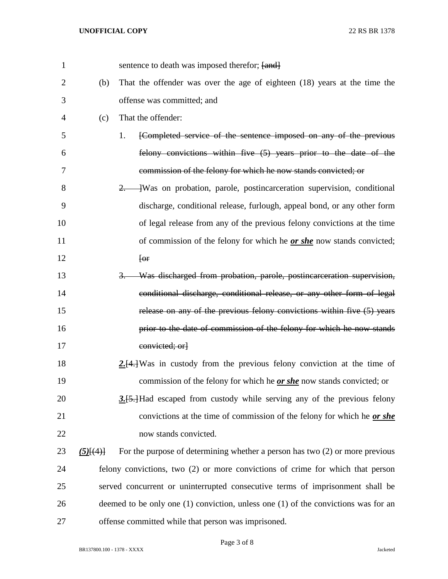| $\mathbf{1}$ |                 | sentence to death was imposed therefor; [and]                                          |
|--------------|-----------------|----------------------------------------------------------------------------------------|
| 2            | (b)             | That the offender was over the age of eighteen $(18)$ years at the time the            |
| 3            |                 | offense was committed; and                                                             |
| 4            | (c)             | That the offender:                                                                     |
| 5            |                 | [Completed service of the sentence imposed on any of the previous<br>1.                |
| 6            |                 | felony convictions within five (5) years prior to the date of the                      |
| 7            |                 | commission of the felony for which he now stands convicted; or                         |
| 8            |                 | -Was on probation, parole, postincarceration supervision, conditional<br>2.            |
| 9            |                 | discharge, conditional release, furlough, appeal bond, or any other form               |
| 10           |                 | of legal release from any of the previous felony convictions at the time               |
| 11           |                 | of commission of the felony for which he <i>or she</i> now stands convicted;           |
| 12           |                 | [ <sub>or</sub> ]                                                                      |
| 13           |                 | Was discharged from probation, parole, postincarceration supervision,<br>$3-$          |
| 14           |                 | conditional discharge, conditional release, or any other form of legal                 |
| 15           |                 | release on any of the previous felony convictions within five (5) years                |
| 16           |                 | prior to the date of commission of the felony for which he now stands                  |
| 17           |                 | convicted; orl                                                                         |
| 18           |                 | $2.4$ . Was in custody from the previous felony conviction at the time of              |
| 19           |                 | commission of the felony for which he <u>or she</u> now stands convicted; or           |
| 20           |                 | 3.[5.] Had escaped from custody while serving any of the previous felony               |
| 21           |                 | convictions at the time of commission of the felony for which he or she                |
| 22           |                 | now stands convicted.                                                                  |
| 23           | $(5)$ [ $(4)$ ] | For the purpose of determining whether a person has two (2) or more previous           |
| 24           |                 | felony convictions, two (2) or more convictions of crime for which that person         |
| 25           |                 | served concurrent or uninterrupted consecutive terms of imprisonment shall be          |
| 26           |                 | deemed to be only one $(1)$ conviction, unless one $(1)$ of the convictions was for an |
| 27           |                 | offense committed while that person was imprisoned.                                    |

Page 3 of 8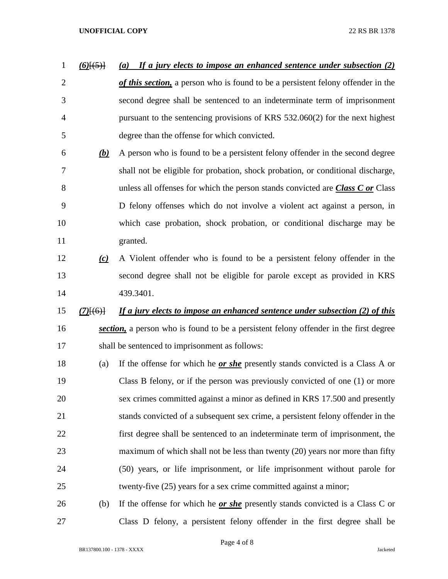# *(6)*[(5)] *(a) If a jury elects to impose an enhanced sentence under subsection (2) of this section,* a person who is found to be a persistent felony offender in the second degree shall be sentenced to an indeterminate term of imprisonment pursuant to the sentencing provisions of KRS 532.060(2) for the next highest degree than the offense for which convicted. *(b)* A person who is found to be a persistent felony offender in the second degree shall not be eligible for probation, shock probation, or conditional discharge, unless all offenses for which the person stands convicted are *Class C or* Class D felony offenses which do not involve a violent act against a person, in which case probation, shock probation, or conditional discharge may be granted. *(c)* A Violent offender who is found to be a persistent felony offender in the second degree shall not be eligible for parole except as provided in KRS 439.3401. *(7)*[(6)] *If a jury elects to impose an enhanced sentence under subsection (2) of this section,* a person who is found to be a persistent felony offender in the first degree shall be sentenced to imprisonment as follows: (a) If the offense for which he *or she* presently stands convicted is a Class A or Class B felony, or if the person was previously convicted of one (1) or more sex crimes committed against a minor as defined in KRS 17.500 and presently stands convicted of a subsequent sex crime, a persistent felony offender in the first degree shall be sentenced to an indeterminate term of imprisonment, the 23 maximum of which shall not be less than twenty (20) years nor more than fifty (50) years, or life imprisonment, or life imprisonment without parole for twenty-five (25) years for a sex crime committed against a minor; (b) If the offense for which he *or she* presently stands convicted is a Class C or

Page 4 of 8

Class D felony, a persistent felony offender in the first degree shall be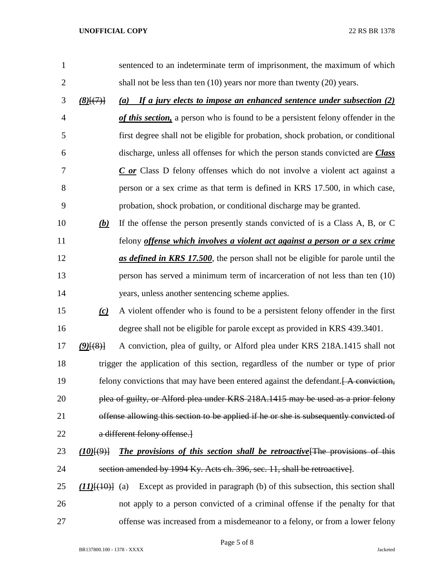| $\mathbf{1}$   |                       | sentenced to an indeterminate term of imprisonment, the maximum of which                        |
|----------------|-----------------------|-------------------------------------------------------------------------------------------------|
| $\overline{2}$ |                       | shall not be less than ten $(10)$ years nor more than twenty $(20)$ years.                      |
| 3              | $(8)$ $(7)$           | If a jury elects to impose an enhanced sentence under subsection (2)<br>(a)                     |
| $\overline{4}$ |                       | of this section, a person who is found to be a persistent felony offender in the                |
| 5              |                       | first degree shall not be eligible for probation, shock probation, or conditional               |
| 6              |                       | discharge, unless all offenses for which the person stands convicted are <i>Class</i>           |
| 7              |                       | $C$ or Class D felony offenses which do not involve a violent act against a                     |
| 8              |                       | person or a sex crime as that term is defined in KRS 17.500, in which case,                     |
| 9              |                       | probation, shock probation, or conditional discharge may be granted.                            |
| 10             | (b)                   | If the offense the person presently stands convicted of is a Class A, B, or C                   |
| 11             |                       | felony <i>offense which involves a violent act against a person or a sex crime</i>              |
| 12             |                       | as defined in KRS 17.500, the person shall not be eligible for parole until the                 |
| 13             |                       | person has served a minimum term of incarceration of not less than ten (10)                     |
| 14             |                       | years, unless another sentencing scheme applies.                                                |
| 15             | (c)                   | A violent offender who is found to be a persistent felony offender in the first                 |
| 16             |                       | degree shall not be eligible for parole except as provided in KRS 439.3401.                     |
| 17             | $(9)$ $(8)$ }         | A conviction, plea of guilty, or Alford plea under KRS 218A.1415 shall not                      |
| 18             |                       | trigger the application of this section, regardless of the number or type of prior              |
| 19             |                       | felony convictions that may have been entered against the defendant. $\overline{A}$ conviction, |
| 20             |                       | plea of guilty, or Alford plea under KRS 218A.1415 may be used as a prior felony                |
| 21             |                       | offense allowing this section to be applied if he or she is subsequently convicted of           |
| 22             |                       | a different felony offense.                                                                     |
| 23             | (10)(9)               | <b>The provisions of this section shall be retroactive</b> [The provisions of this              |
| 24             |                       | section amended by 1994 Ky. Acts ch. 396, sec. 11, shall be retroactive.                        |
| 25             | $(11)$ [ $(10)$ ] (a) | Except as provided in paragraph (b) of this subsection, this section shall                      |
| 26             |                       | not apply to a person convicted of a criminal offense if the penalty for that                   |

offense was increased from a misdemeanor to a felony, or from a lower felony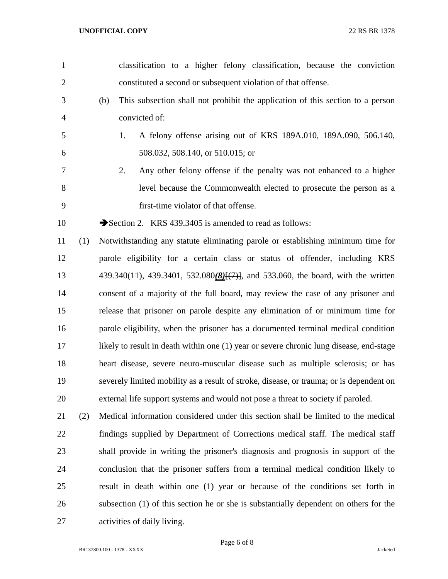| $\mathbf{1}$   |     | classification to a higher felony classification, because the conviction                |
|----------------|-----|-----------------------------------------------------------------------------------------|
| $\overline{2}$ |     | constituted a second or subsequent violation of that offense.                           |
| 3              |     | (b)<br>This subsection shall not prohibit the application of this section to a person   |
| $\overline{4}$ |     | convicted of:                                                                           |
| 5              |     | A felony offense arising out of KRS 189A.010, 189A.090, 506.140,<br>1.                  |
| 6              |     | 508.032, 508.140, or 510.015; or                                                        |
| 7              |     | 2.<br>Any other felony offense if the penalty was not enhanced to a higher              |
| 8              |     | level because the Commonwealth elected to prosecute the person as a                     |
| 9              |     | first-time violator of that offense.                                                    |
| 10             |     | Section 2. KRS 439.3405 is amended to read as follows:                                  |
| 11             | (1) | Notwithstanding any statute eliminating parole or establishing minimum time for         |
| 12             |     | parole eligibility for a certain class or status of offender, including KRS             |
| 13             |     | 439.340(11), 439.3401, 532.080(8)[(7)], and 533.060, the board, with the written        |
| 14             |     | consent of a majority of the full board, may review the case of any prisoner and        |
| 15             |     | release that prisoner on parole despite any elimination of or minimum time for          |
| 16             |     | parole eligibility, when the prisoner has a documented terminal medical condition       |
| 17             |     | likely to result in death within one (1) year or severe chronic lung disease, end-stage |
| 18             |     | heart disease, severe neuro-muscular disease such as multiple sclerosis; or has         |
| 19             |     | severely limited mobility as a result of stroke, disease, or trauma; or is dependent on |
| 20             |     | external life support systems and would not pose a threat to society if paroled.        |
| 21             | (2) | Medical information considered under this section shall be limited to the medical       |
| 22             |     | findings supplied by Department of Corrections medical staff. The medical staff         |
| 23             |     | shall provide in writing the prisoner's diagnosis and prognosis in support of the       |
| 24             |     | conclusion that the prisoner suffers from a terminal medical condition likely to        |
| 25             |     | result in death within one (1) year or because of the conditions set forth in           |
| 26             |     | subsection (1) of this section he or she is substantially dependent on others for the   |
| 27             |     | activities of daily living.                                                             |
|                |     |                                                                                         |

Page 6 of 8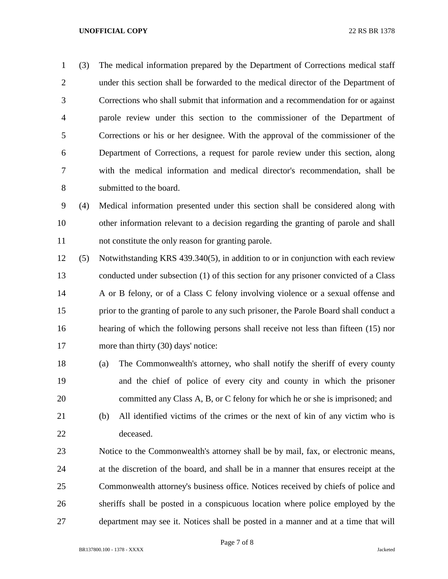(3) The medical information prepared by the Department of Corrections medical staff under this section shall be forwarded to the medical director of the Department of Corrections who shall submit that information and a recommendation for or against parole review under this section to the commissioner of the Department of Corrections or his or her designee. With the approval of the commissioner of the Department of Corrections, a request for parole review under this section, along with the medical information and medical director's recommendation, shall be submitted to the board.

 (4) Medical information presented under this section shall be considered along with other information relevant to a decision regarding the granting of parole and shall not constitute the only reason for granting parole.

- (5) Notwithstanding KRS 439.340(5), in addition to or in conjunction with each review conducted under subsection (1) of this section for any prisoner convicted of a Class A or B felony, or of a Class C felony involving violence or a sexual offense and prior to the granting of parole to any such prisoner, the Parole Board shall conduct a hearing of which the following persons shall receive not less than fifteen (15) nor 17 more than thirty (30) days' notice:
- (a) The Commonwealth's attorney, who shall notify the sheriff of every county and the chief of police of every city and county in which the prisoner committed any Class A, B, or C felony for which he or she is imprisoned; and
- (b) All identified victims of the crimes or the next of kin of any victim who is deceased.
- Notice to the Commonwealth's attorney shall be by mail, fax, or electronic means, at the discretion of the board, and shall be in a manner that ensures receipt at the Commonwealth attorney's business office. Notices received by chiefs of police and sheriffs shall be posted in a conspicuous location where police employed by the department may see it. Notices shall be posted in a manner and at a time that will